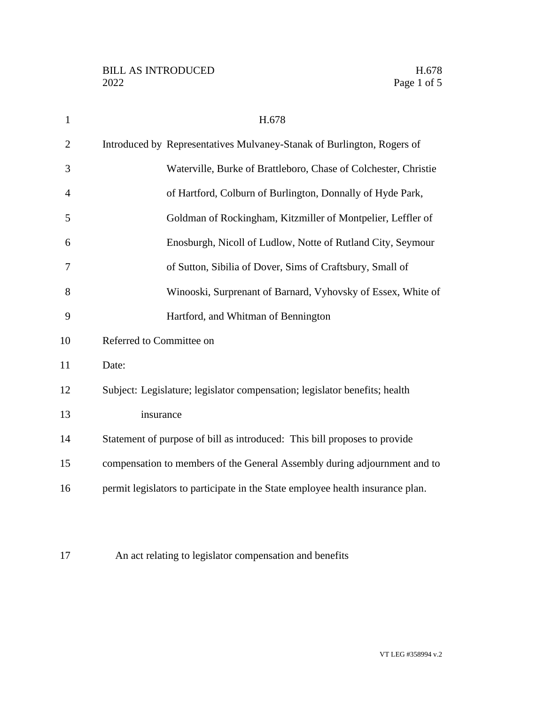| $\mathbf{1}$   | H.678                                                                          |
|----------------|--------------------------------------------------------------------------------|
| $\overline{2}$ | Introduced by Representatives Mulvaney-Stanak of Burlington, Rogers of         |
| 3              | Waterville, Burke of Brattleboro, Chase of Colchester, Christie                |
| $\overline{4}$ | of Hartford, Colburn of Burlington, Donnally of Hyde Park,                     |
| 5              | Goldman of Rockingham, Kitzmiller of Montpelier, Leffler of                    |
| 6              | Enosburgh, Nicoll of Ludlow, Notte of Rutland City, Seymour                    |
| 7              | of Sutton, Sibilia of Dover, Sims of Craftsbury, Small of                      |
| 8              | Winooski, Surprenant of Barnard, Vyhovsky of Essex, White of                   |
| 9              | Hartford, and Whitman of Bennington                                            |
| 10             | Referred to Committee on                                                       |
| 11             | Date:                                                                          |
| 12             | Subject: Legislature; legislator compensation; legislator benefits; health     |
| 13             | insurance                                                                      |
| 14             | Statement of purpose of bill as introduced: This bill proposes to provide      |
| 15             | compensation to members of the General Assembly during adjournment and to      |
| 16             | permit legislators to participate in the State employee health insurance plan. |
|                |                                                                                |

An act relating to legislator compensation and benefits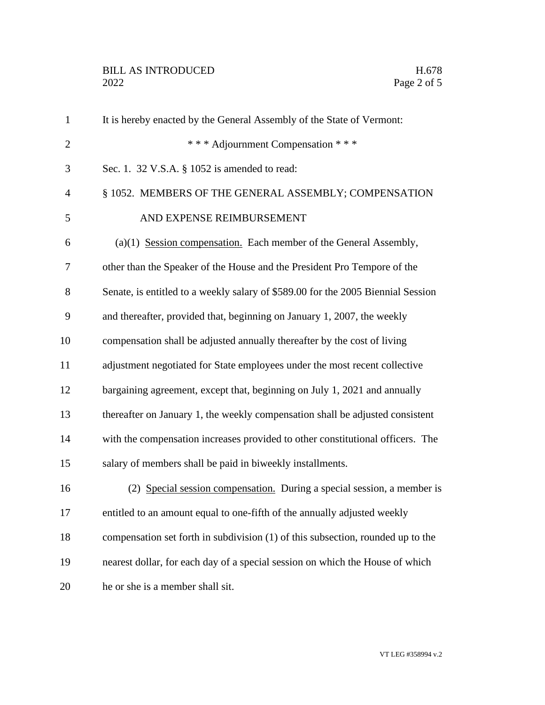| $\mathbf{1}$   | It is hereby enacted by the General Assembly of the State of Vermont:            |
|----------------|----------------------------------------------------------------------------------|
| $\overline{2}$ | *** Adjournment Compensation ***                                                 |
| 3              | Sec. 1. 32 V.S.A. § 1052 is amended to read:                                     |
| $\overline{4}$ | § 1052. MEMBERS OF THE GENERAL ASSEMBLY; COMPENSATION                            |
| 5              | AND EXPENSE REIMBURSEMENT                                                        |
| 6              | $(a)(1)$ Session compensation. Each member of the General Assembly,              |
| 7              | other than the Speaker of the House and the President Pro Tempore of the         |
| 8              | Senate, is entitled to a weekly salary of \$589.00 for the 2005 Biennial Session |
| 9              | and thereafter, provided that, beginning on January 1, 2007, the weekly          |
| 10             | compensation shall be adjusted annually thereafter by the cost of living         |
| 11             | adjustment negotiated for State employees under the most recent collective       |
| 12             | bargaining agreement, except that, beginning on July 1, 2021 and annually        |
| 13             | thereafter on January 1, the weekly compensation shall be adjusted consistent    |
| 14             | with the compensation increases provided to other constitutional officers. The   |
| 15             | salary of members shall be paid in biweekly installments.                        |
| 16             | (2) Special session compensation. During a special session, a member is          |
| 17             | entitled to an amount equal to one-fifth of the annually adjusted weekly         |
| 18             | compensation set forth in subdivision (1) of this subsection, rounded up to the  |
| 19             | nearest dollar, for each day of a special session on which the House of which    |
| 20             | he or she is a member shall sit.                                                 |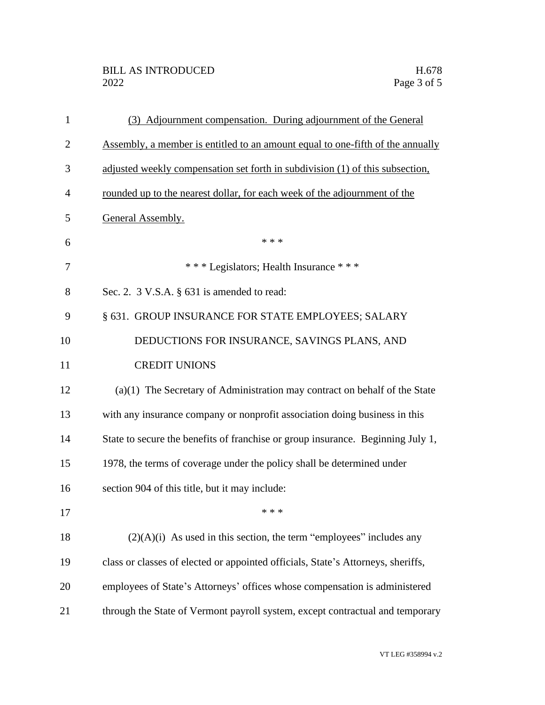| $\mathbf{1}$   | (3) Adjournment compensation. During adjournment of the General                  |
|----------------|----------------------------------------------------------------------------------|
| $\overline{2}$ | Assembly, a member is entitled to an amount equal to one-fifth of the annually   |
| 3              | adjusted weekly compensation set forth in subdivision (1) of this subsection,    |
| 4              | rounded up to the nearest dollar, for each week of the adjournment of the        |
| 5              | General Assembly.                                                                |
| 6              | * * *                                                                            |
| 7              | *** Legislators; Health Insurance ***                                            |
| 8              | Sec. 2. $3$ V.S.A. $\S$ 631 is amended to read:                                  |
| 9              | § 631. GROUP INSURANCE FOR STATE EMPLOYEES; SALARY                               |
| 10             | DEDUCTIONS FOR INSURANCE, SAVINGS PLANS, AND                                     |
| 11             | <b>CREDIT UNIONS</b>                                                             |
| 12             | $(a)(1)$ The Secretary of Administration may contract on behalf of the State     |
| 13             | with any insurance company or nonprofit association doing business in this       |
| 14             | State to secure the benefits of franchise or group insurance. Beginning July 1,  |
| 15             | 1978, the terms of coverage under the policy shall be determined under           |
| 16             | section 904 of this title, but it may include:                                   |
| 17             | * * *                                                                            |
| 18             | $(2)(A)(i)$ As used in this section, the term "employees" includes any           |
| 19             | class or classes of elected or appointed officials, State's Attorneys, sheriffs, |
| 20             | employees of State's Attorneys' offices whose compensation is administered       |
| 21             | through the State of Vermont payroll system, except contractual and temporary    |

VT LEG #358994 v.2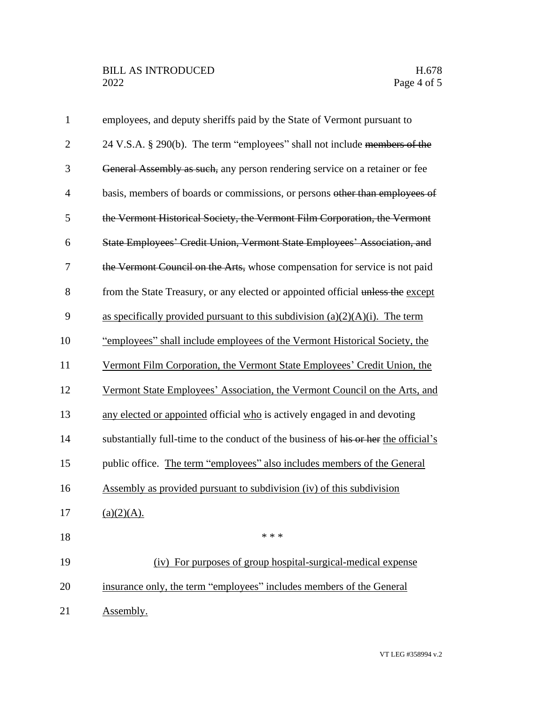| $\mathbf{1}$   | employees, and deputy sheriffs paid by the State of Vermont pursuant to             |
|----------------|-------------------------------------------------------------------------------------|
| $\overline{2}$ | 24 V.S.A. § 290(b). The term "employees" shall not include members of the           |
| 3              | General Assembly as such, any person rendering service on a retainer or fee         |
| $\overline{4}$ | basis, members of boards or commissions, or persons other than employees of         |
| 5              | the Vermont Historical Society, the Vermont Film Corporation, the Vermont           |
| 6              | State Employees' Credit Union, Vermont State Employees' Association, and            |
| 7              | the Vermont Council on the Arts, whose compensation for service is not paid         |
| 8              | from the State Treasury, or any elected or appointed official unless the except     |
| 9              | as specifically provided pursuant to this subdivision $(a)(2)(A)(i)$ . The term     |
| 10             | "employees" shall include employees of the Vermont Historical Society, the          |
| 11             | Vermont Film Corporation, the Vermont State Employees' Credit Union, the            |
| 12             | Vermont State Employees' Association, the Vermont Council on the Arts, and          |
| 13             | any elected or appointed official who is actively engaged in and devoting           |
| 14             | substantially full-time to the conduct of the business of his or her the official's |
| 15             | public office. The term "employees" also includes members of the General            |
| 16             | Assembly as provided pursuant to subdivision (iv) of this subdivision               |
| 17             | (a)(2)(A).                                                                          |
| 18             | * * *                                                                               |
| 19             | (iv) For purposes of group hospital-surgical-medical expense                        |
| 20             | insurance only, the term "employees" includes members of the General                |
| 21             | Assembly.                                                                           |